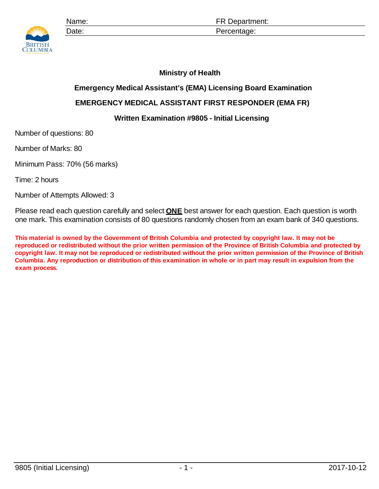

Name: **Name: ER Department:** Date: Percentage:

## **Ministry of Health**

## **Emergency Medical Assistant's (EMA) Licensing Board Examination**

## **EMERGENCY MEDICAL ASSISTANT FIRST RESPONDER (EMA FR)**

## **Written Examination #9805 - Initial Licensing**

Number of questions: 80

Number of Marks: 80

Minimum Pass: 70% (56 marks)

Time: 2 hours

Number of Attempts Allowed: 3

Please read each question carefully and select **ONE** best answer for each question. Each question is worth one mark. This examination consists of 80 questions randomly chosen from an exam bank of 340 questions.

**This material is owned by the Government of British Columbia and protected by copyright law. It may not be reproduced or redistributed without the prior written permission of the Province of British Columbia and protected by copyright law. It may not be reproduced or redistributed without the prior written permission of the Province of British Columbia. Any reproduction or distribution of this examination in whole or in part may result in expulsion from the exam process.**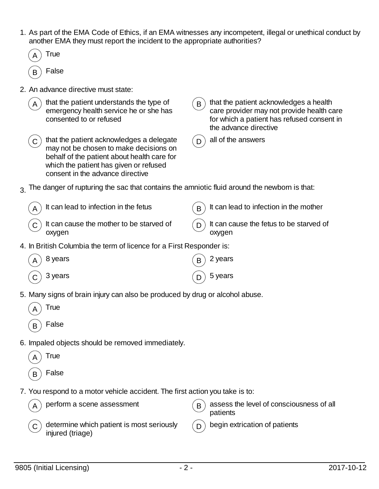- 1. As part of the EMA Code of Ethics, if an EMA witnesses any incompetent, illegal or unethical conduct by another EMA they must report the incident to the appropriate authorities?
- **True False** 2. An advance directive must state: that the patient understands the type of emergency health service he or she has consented to or refused  $B$ ) that the patient acknowledges a health care provider may not provide health care for which a patient has refused consent in the advance directive that the patient acknowledges a delegate may not be chosen to make decisions on behalf of the patient about health care for which the patient has given or refused consent in the advance directive  $\overline{D}$  all of the answers  $3.$  The danger of rupturing the sac that contains the amniotic fluid around the newborn is that: It can lead to infection in the fetus  $(B)$  It can lead to infection in the mother  $\mathsf{C}$ ) It can cause the mother to be starved of oxygen  $\Box$ ) It can cause the fetus to be starved of oxygen 4. In British Columbia the term of licence for a First Responder is: 8 years  $(B)$  2 years  $\textsf{C}\, \big) \,$  3 years  $\textsf{C}\, \big) \,$  5 years 5. Many signs of brain injury can also be produced by drug or alcohol abuse. **True False** 6. Impaled objects should be removed immediately. **True**  $_B$ ) False 7. You respond to a motor vehicle accident. The first action you take is to: perform a scene assessment  $(B)$  assess the level of consciousness of all patients determine which patient is most seriously injured (triage)  $D$  begin extrication of patients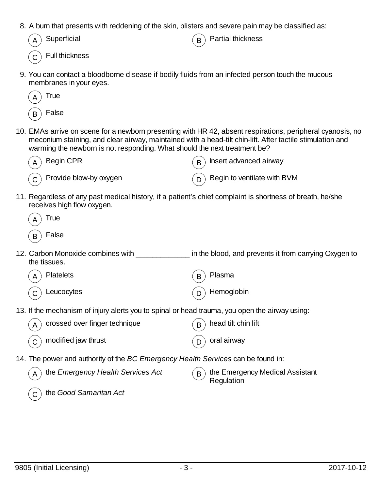8. A burn that presents with reddening of the skin, blisters and severe pain may be classified as:

| $(A)$ Superficial             |  |
|-------------------------------|--|
| $\overline{c}$ Full thickness |  |

 $\mathbf{B}$  Partial thickness

9. You can contact a bloodborne disease if bodily fluids from an infected person touch the mucous membranes in your eyes.



10. EMAs arrive on scene for a newborn presenting with HR 42, absent respirations, peripheral cyanosis, no meconium staining, and clear airway, maintained with a head-tilt chin-lift. After tactile stimulation and warming the newborn is not responding. What should the next treatment be?



11. Regardless of any past medical history, if a patient's chief complaint is shortness of breath, he/she receives high flow oxygen.

| True  |
|-------|
| False |

- 12. Carbon Monoxide combines with \_\_\_\_\_\_\_\_\_\_\_\_\_\_\_ in the blood, and prevents it from carrying Oxygen to the tissues.
	- Platelets  $(R)$  Plasma

 $(C)$  Leucocytes  $(D)$  Hemoglobin

13. If the mechanism of injury alerts you to spinal or head trauma, you open the airway using:

| $_A)$ crossed over finger technique        | $\binom{1}{B}$ head tilt chin lift |
|--------------------------------------------|------------------------------------|
| $\widehat{\mathsf{C}}$ modified jaw thrust | $(D)$ oral airway                  |

14. The power and authority of the *BC Emergency Health Services* can be found in:

| $( B )$ the Emergency Medical Assistant<br>$\vee$ Regulation |
|--------------------------------------------------------------|
|                                                              |

C the *Good Samaritan Act*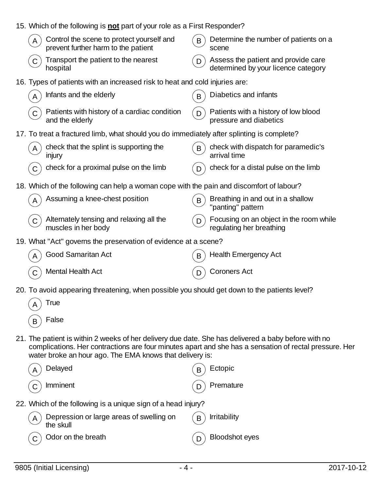|                                                                                                                                                                                                                                                                           | 15. Which of the following is not part of your role as a First Responder?                  |                                                                                 |  |  |  |
|---------------------------------------------------------------------------------------------------------------------------------------------------------------------------------------------------------------------------------------------------------------------------|--------------------------------------------------------------------------------------------|---------------------------------------------------------------------------------|--|--|--|
|                                                                                                                                                                                                                                                                           | Control the scene to protect yourself and<br>prevent further harm to the patient           | Determine the number of patients on a<br>B<br>scene                             |  |  |  |
|                                                                                                                                                                                                                                                                           | Transport the patient to the nearest<br>$\mathsf{C}$<br>hospital                           | Assess the patient and provide care<br>D<br>determined by your licence category |  |  |  |
|                                                                                                                                                                                                                                                                           | 16. Types of patients with an increased risk to heat and cold injuries are:                |                                                                                 |  |  |  |
|                                                                                                                                                                                                                                                                           | Infants and the elderly<br>A                                                               | Diabetics and infants                                                           |  |  |  |
|                                                                                                                                                                                                                                                                           | Patients with history of a cardiac condition<br>C<br>and the elderly                       | Patients with a history of low blood<br>D<br>pressure and diabetics             |  |  |  |
|                                                                                                                                                                                                                                                                           | 17. To treat a fractured limb, what should you do immediately after splinting is complete? |                                                                                 |  |  |  |
|                                                                                                                                                                                                                                                                           | check that the splint is supporting the<br>injury                                          | check with dispatch for paramedic's<br>B<br>arrival time                        |  |  |  |
|                                                                                                                                                                                                                                                                           | check for a proximal pulse on the limb                                                     | check for a distal pulse on the limb                                            |  |  |  |
|                                                                                                                                                                                                                                                                           | 18. Which of the following can help a woman cope with the pain and discomfort of labour?   |                                                                                 |  |  |  |
|                                                                                                                                                                                                                                                                           | Assuming a knee-chest position                                                             | Breathing in and out in a shallow<br>B<br>'panting" pattern                     |  |  |  |
|                                                                                                                                                                                                                                                                           | Alternately tensing and relaxing all the<br>$\mathsf{C}$<br>muscles in her body            | Focusing on an object in the room while<br>D<br>regulating her breathing        |  |  |  |
| 19. What "Act" governs the preservation of evidence at a scene?                                                                                                                                                                                                           |                                                                                            |                                                                                 |  |  |  |
|                                                                                                                                                                                                                                                                           | Good Samaritan Act                                                                         | <b>Health Emergency Act</b><br>B                                                |  |  |  |
|                                                                                                                                                                                                                                                                           | <b>Mental Health Act</b>                                                                   | <b>Coroners Act</b>                                                             |  |  |  |
| 20. To avoid appearing threatening, when possible you should get down to the patients level?                                                                                                                                                                              |                                                                                            |                                                                                 |  |  |  |
|                                                                                                                                                                                                                                                                           | True                                                                                       |                                                                                 |  |  |  |
|                                                                                                                                                                                                                                                                           | False<br>B                                                                                 |                                                                                 |  |  |  |
| 21. The patient is within 2 weeks of her delivery due date. She has delivered a baby before with no<br>complications. Her contractions are four minutes apart and she has a sensation of rectal pressure. Her<br>water broke an hour ago. The EMA knows that delivery is: |                                                                                            |                                                                                 |  |  |  |
|                                                                                                                                                                                                                                                                           | Delayed                                                                                    | Ectopic                                                                         |  |  |  |
|                                                                                                                                                                                                                                                                           | Imminent                                                                                   | Premature                                                                       |  |  |  |
|                                                                                                                                                                                                                                                                           | 22. Which of the following is a unique sign of a head injury?                              |                                                                                 |  |  |  |

 $_\mathsf{A}\bigl)$  Depression or large areas of swelling on the skull  $\binom{1}{B}$  Irritability  $\left(\begin{matrix} \overline{C} \end{matrix}\right)$  Odor on the breath  $\left(\begin{matrix} \overline{D} \end{matrix}\right)$  Bloodshot eyes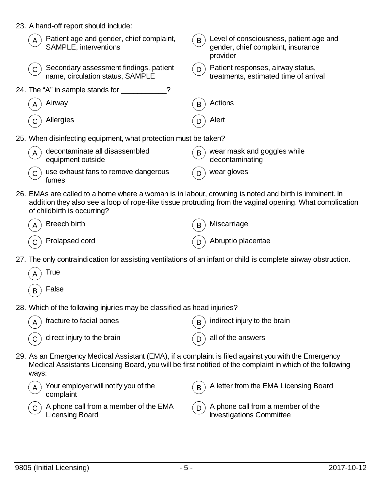| 23. A hand-off report should include:                                                                                                |                                                                                                           |  |  |
|--------------------------------------------------------------------------------------------------------------------------------------|-----------------------------------------------------------------------------------------------------------|--|--|
| Patient age and gender, chief complaint,<br>SAMPLE, interventions                                                                    | Level of consciousness, patient age and<br>B<br>gender, chief complaint, insurance<br>provider            |  |  |
| Secondary assessment findings, patient<br>name, circulation status, SAMPLE                                                           | Patient responses, airway status,<br>D<br>treatments, estimated time of arrival                           |  |  |
| 24. The "A" in sample stands for _________                                                                                           |                                                                                                           |  |  |
| Airway                                                                                                                               | Actions<br>B                                                                                              |  |  |
| Allergies                                                                                                                            | Alert                                                                                                     |  |  |
| 25. When disinfecting equipment, what protection must be taken?                                                                      |                                                                                                           |  |  |
| decontaminate all disassembled<br>A<br>equipment outside                                                                             | wear mask and goggles while<br>$\mathsf{B}$<br>decontaminating                                            |  |  |
| use exhaust fans to remove dangerous<br>fumes                                                                                        | wear gloves                                                                                               |  |  |
| 26. EMAs are called to a home where a woman is in labour, crowning is noted and birth is imminent. In<br>of childbirth is occurring? | addition they also see a loop of rope-like tissue protruding from the vaginal opening. What complication  |  |  |
| <b>Breech birth</b>                                                                                                                  | Miscarriage<br>B                                                                                          |  |  |
| Prolapsed cord                                                                                                                       | Abruptio placentae<br>D                                                                                   |  |  |
| 27. The only contraindication for assisting ventilations of an infant or child is complete airway obstruction.                       |                                                                                                           |  |  |
| True                                                                                                                                 |                                                                                                           |  |  |
| False<br>B                                                                                                                           |                                                                                                           |  |  |
| 28. Which of the following injuries may be classified as head injuries?                                                              |                                                                                                           |  |  |
| fracture to facial bones                                                                                                             | indirect injury to the brain<br>B                                                                         |  |  |
| direct injury to the brain                                                                                                           | all of the answers<br>D                                                                                   |  |  |
| 29. As an Emergency Medical Assistant (EMA), if a complaint is filed against you with the Emergency<br>ways:                         | Medical Assistants Licensing Board, you will be first notified of the complaint in which of the following |  |  |
| Your employer will notify you of the<br>complaint                                                                                    | A letter from the EMA Licensing Board<br>B                                                                |  |  |

- $\infty$   $\,$  A phone call from a member of the EMA Licensing Board
- $\overline{\mathsf{D}}$   $\big)$  A phone call from a member of the Investigations Committee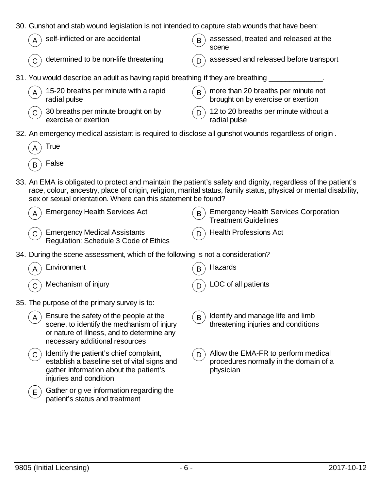30. Gunshot and stab wound legislation is not intended to capture stab wounds that have been:

| $(A)$ self-inflicted or are accidental                                          | $\mathbf{B}$ assessed, treated and released at the<br>scene |
|---------------------------------------------------------------------------------|-------------------------------------------------------------|
| $\sigma(\mathbf{c})$ determined to be non-life threatening                      | $\Gamma$ assessed and released before transport             |
| 31. You would describe an adult as having rapid breathing if they are breathing |                                                             |

| $(A)$ 15-20 breaths per minute with a rapid<br>radial pulse                | $\mathsf{R}$ more than 20 breaths per minute not<br>brought on by exercise or exertion |
|----------------------------------------------------------------------------|----------------------------------------------------------------------------------------|
| $\binom{1}{C}$ 30 breaths per minute brought on by<br>exercise or exertion | $(p)$ 12 to 20 breaths per minute without a<br>radial pulse                            |

32. An emergency medical assistant is required to disclose all gunshot wounds regardless of origin .

| I rue |
|-------|
| False |

33. An EMA is obligated to protect and maintain the patient's safety and dignity, regardless of the patient's race, colour, ancestry, place of origin, religion, marital status, family status, physical or mental disability, sex or sexual orientation. Where can this statement be found?

| $(A)$ Emergency Health Services Act                                     | $\binom{1}{B}$ Emergency Health Services Corporation<br><b>Treatment Guidelines</b> |
|-------------------------------------------------------------------------|-------------------------------------------------------------------------------------|
| C Emergency Medical Assistants<br>Regulation: Schedule 3 Code of Ethics | $($ D) Health Professions Act                                                       |

34. During the scene assessment, which of the following is not a consideration?

|   | Environment                                                                                                                                                          | Β              | Hazards                                                                                    |
|---|----------------------------------------------------------------------------------------------------------------------------------------------------------------------|----------------|--------------------------------------------------------------------------------------------|
|   | Mechanism of injury                                                                                                                                                  |                | LOC of all patients                                                                        |
|   | 35. The purpose of the primary survey is to:                                                                                                                         |                |                                                                                            |
| A | Ensure the safety of the people at the<br>scene, to identify the mechanism of injury<br>or nature of illness, and to determine any<br>necessary additional resources | B              | Identify and manage life and limb<br>threatening injuries and conditions                   |
|   | Identify the patient's chief complaint,<br>establish a baseline set of vital signs and<br>gather information about the patient's<br>injuries and condition           | $\overline{D}$ | Allow the EMA-FR to perform medical<br>procedures normally in the domain of a<br>physician |
| E | Gather or give information regarding the<br>patient's status and treatment                                                                                           |                |                                                                                            |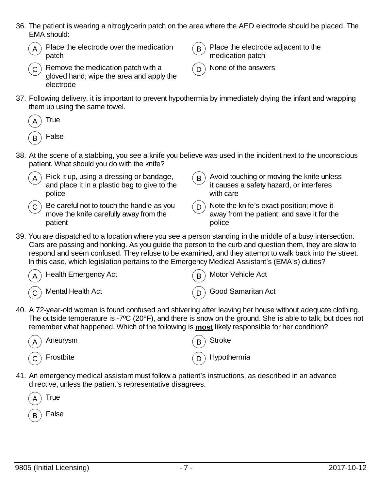36. The patient is wearing a nitroglycerin patch on the area where the AED electrode should be placed. The EMA should:



Place the electrode over the medication patch

Remove the medication patch with a gloved hand; wipe the area and apply the



Place the electrode adjacent to the medication patch



 $\cap$  None of the answers

37. Following delivery, it is important to prevent hypothermia by immediately drying the infant and wrapping them up using the same towel.



electrode

- 38. At the scene of a stabbing, you see a knife you believe was used in the incident next to the unconscious patient. What should you do with the knife?
	- Pick it up, using a dressing or bandage, and place it in a plastic bag to give to the police  $\mathbf{B}$ ) Avoid touching or moving the knife unless it causes a safety hazard, or interferes with care Be careful not to touch the handle as you move the knife carefully away from the patient  $\overline{D}$  Note the knife's exact position; move it away from the patient, and save it for the police
- 39. You are dispatched to a location where you see a person standing in the middle of a busy intersection. Cars are passing and honking. As you guide the person to the curb and question them, they are slow to respond and seem confused. They refuse to be examined, and they attempt to walk back into the street. In this case, which legislation pertains to the Emergency Medical Assistant's (EMA's) duties?

| $\binom{1}{A}$ Health Emergency Act | $(B)$ Motor Vehicle Act  |
|-------------------------------------|--------------------------|
| $\binom{1}{C}$ Mental Health Act    | $(D)$ Good Samaritan Act |

40. A 72-year-old woman is found confused and shivering after leaving her house without adequate clothing. The outside temperature is -7ºC (20°F), and there is snow on the ground. She is able to talk, but does not remember what happened. Which of the following is **most** likely responsible for her condition?

| $\left(\widehat{A}\right)$ Aneurysm  | $\binom{B}{B}$ Stroke      |
|--------------------------------------|----------------------------|
| $\left(\widehat{C}\right)$ Frostbite | $\binom{1}{D}$ Hypothermia |

41. An emergency medical assistant must follow a patient's instructions, as described in an advance directive, unless the patient's representative disagrees.

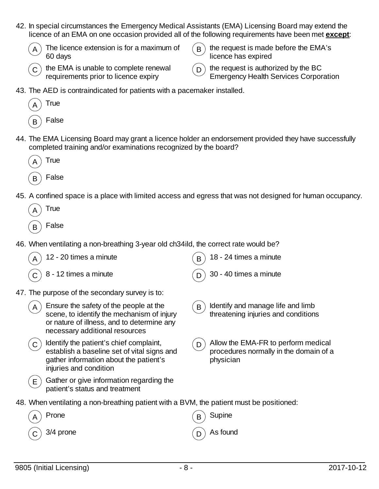42. In special circumstances the Emergency Medical Assistants (EMA) Licensing Board may extend the licence of an EMA on one occasion provided all of the following requirements have been met **except**:



The licence extension is for a maximum of 60 days



 $\mathbf{B}$ ) the request is made before the EMA's licence has expired

) the request is authorized by the BC Emergency Health Services Corporation

43. The AED is contraindicated for patients with a pacemaker installed.



44. The EMA Licensing Board may grant a licence holder an endorsement provided they have successfully completed training and/or examinations recognized by the board?



45. A confined space is a place with limited access and egress that was not designed for human occupancy.

| True  |
|-------|
| False |

46. When ventilating a non-breathing 3-year old ch34ild, the correct rate would be?

|    | 12 - 20 times a minute                                                                                                                                               | B | 18 - 24 times a minute                                                                     |
|----|----------------------------------------------------------------------------------------------------------------------------------------------------------------------|---|--------------------------------------------------------------------------------------------|
|    | 8 - 12 times a minute                                                                                                                                                |   | 30 - 40 times a minute                                                                     |
|    | 47. The purpose of the secondary survey is to:                                                                                                                       |   |                                                                                            |
| A  | Ensure the safety of the people at the<br>scene, to identify the mechanism of injury<br>or nature of illness, and to determine any<br>necessary additional resources | B | Identify and manage life and limb<br>threatening injuries and conditions                   |
| C. | Identify the patient's chief complaint,<br>establish a baseline set of vital signs and<br>gather information about the patient's<br>injuries and condition           | D | Allow the EMA-FR to perform medical<br>procedures normally in the domain of a<br>physician |
| Е. | Gather or give information regarding the<br>patient's status and treatment                                                                                           |   |                                                                                            |
|    | 48. When ventilating a non-breathing patient with a BVM, the patient must be positioned:                                                                             |   |                                                                                            |
|    | Prone                                                                                                                                                                |   | Supine                                                                                     |
|    | 3/4 prone                                                                                                                                                            |   | As found                                                                                   |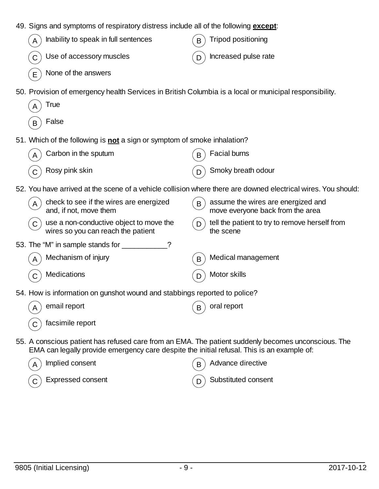| 49. Signs and symptoms of respiratory distress include all of the following except:                                                                                                               |   |                                                                        |
|---------------------------------------------------------------------------------------------------------------------------------------------------------------------------------------------------|---|------------------------------------------------------------------------|
| Inability to speak in full sentences<br>A                                                                                                                                                         | B | <b>Tripod positioning</b>                                              |
| Use of accessory muscles<br>$\mathsf C$                                                                                                                                                           | D | Increased pulse rate                                                   |
| None of the answers<br>E                                                                                                                                                                          |   |                                                                        |
| 50. Provision of emergency health Services in British Columbia is a local or municipal responsibility.<br>True<br>A                                                                               |   |                                                                        |
| False<br>B                                                                                                                                                                                        |   |                                                                        |
| 51. Which of the following is not a sign or symptom of smoke inhalation?                                                                                                                          |   |                                                                        |
| Carbon in the sputum<br>A                                                                                                                                                                         |   | Facial burns                                                           |
| Rosy pink skin<br>С                                                                                                                                                                               | D | Smoky breath odour                                                     |
| 52. You have arrived at the scene of a vehicle collision where there are downed electrical wires. You should:                                                                                     |   |                                                                        |
| check to see if the wires are energized<br>A<br>and, if not, move them                                                                                                                            | B | assume the wires are energized and<br>move everyone back from the area |
| use a non-conductive object to move the<br>$\mathsf C$<br>wires so you can reach the patient                                                                                                      | D | tell the patient to try to remove herself from<br>the scene            |
| ?                                                                                                                                                                                                 |   |                                                                        |
| Mechanism of injury<br>A                                                                                                                                                                          | B | Medical management                                                     |
| Medications<br>$\mathsf C$                                                                                                                                                                        | D | Motor skills                                                           |
| 54. How is information on gunshot wound and stabbings reported to police?                                                                                                                         |   |                                                                        |
| email report                                                                                                                                                                                      |   | oral report                                                            |
| facsimile report                                                                                                                                                                                  |   |                                                                        |
| 55. A conscious patient has refused care from an EMA. The patient suddenly becomes unconscious. The<br>EMA can legally provide emergency care despite the initial refusal. This is an example of: |   |                                                                        |
| Implied consent<br>A                                                                                                                                                                              |   | Advance directive                                                      |
| Expressed consent                                                                                                                                                                                 |   | Substituted consent                                                    |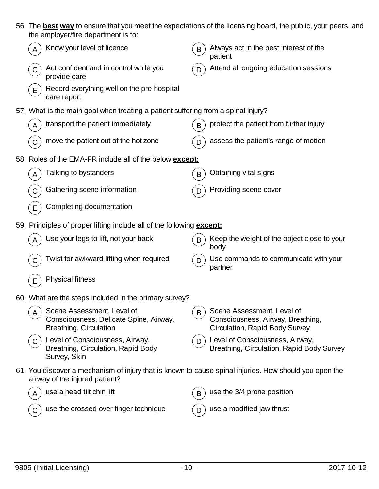|             | the employer/fire department is to:                                                                                                      |   | 56. The best way to ensure that you meet the expectations of the licensing board, the public, your peers, and |
|-------------|------------------------------------------------------------------------------------------------------------------------------------------|---|---------------------------------------------------------------------------------------------------------------|
|             | Know your level of licence                                                                                                               | B | Always act in the best interest of the<br>patient                                                             |
| $\mathsf C$ | Act confident and in control while you<br>provide care                                                                                   |   | Attend all ongoing education sessions                                                                         |
| E           | Record everything well on the pre-hospital<br>care report                                                                                |   |                                                                                                               |
|             | 57. What is the main goal when treating a patient suffering from a spinal injury?                                                        |   |                                                                                                               |
| A           | transport the patient immediately                                                                                                        | B | protect the patient from further injury                                                                       |
| C           | move the patient out of the hot zone                                                                                                     | D | assess the patient's range of motion                                                                          |
|             | 58. Roles of the EMA-FR include all of the below except:                                                                                 |   |                                                                                                               |
| A           | Talking to bystanders                                                                                                                    | B | Obtaining vital signs                                                                                         |
| C           | Gathering scene information                                                                                                              | D | Providing scene cover                                                                                         |
| E           | Completing documentation                                                                                                                 |   |                                                                                                               |
|             | 59. Principles of proper lifting include all of the following <b>except:</b>                                                             |   |                                                                                                               |
|             | Use your legs to lift, not your back                                                                                                     | B | Keep the weight of the object close to your<br>body                                                           |
| C           | Twist for awkward lifting when required                                                                                                  | D | Use commands to communicate with your<br>partner                                                              |
| E           | <b>Physical fitness</b>                                                                                                                  |   |                                                                                                               |
|             | 60. What are the steps included in the primary survey?                                                                                   |   |                                                                                                               |
|             | Scene Assessment, Level of<br>Consciousness, Delicate Spine, Airway,<br><b>Breathing, Circulation</b>                                    | B | Scene Assessment, Level of<br>Consciousness, Airway, Breathing,<br><b>Circulation, Rapid Body Survey</b>      |
| $\mathsf C$ | Level of Consciousness, Airway,<br><b>Breathing, Circulation, Rapid Body</b><br>Survey, Skin                                             | D | Level of Consciousness, Airway,<br>Breathing, Circulation, Rapid Body Survey                                  |
|             | 61. You discover a mechanism of injury that is known to cause spinal injuries. How should you open the<br>airway of the injured patient? |   |                                                                                                               |
|             | use a head tilt chin lift                                                                                                                | B | use the 3/4 prone position                                                                                    |
|             | use the crossed over finger technique                                                                                                    |   | use a modified jaw thrust                                                                                     |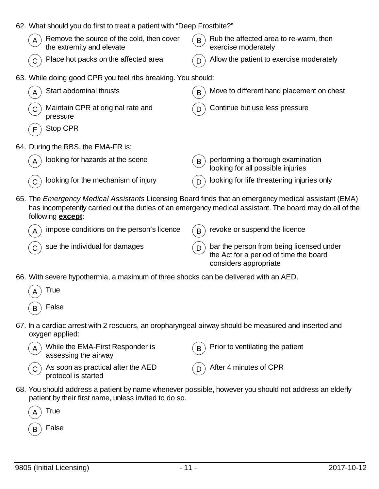| 62. What should you do first to treat a patient with "Deep Frostbite?"      |                                                                                                                                                                                                                 |  |
|-----------------------------------------------------------------------------|-----------------------------------------------------------------------------------------------------------------------------------------------------------------------------------------------------------------|--|
| Remove the source of the cold, then cover<br>A<br>the extremity and elevate | Rub the affected area to re-warm, then<br>B<br>exercise moderately                                                                                                                                              |  |
| Place hot packs on the affected area                                        | Allow the patient to exercise moderately<br>D                                                                                                                                                                   |  |
| 63. While doing good CPR you feel ribs breaking. You should:                |                                                                                                                                                                                                                 |  |
| Start abdominal thrusts                                                     | Move to different hand placement on chest<br>В                                                                                                                                                                  |  |
| Maintain CPR at original rate and<br>C<br>pressure                          | Continue but use less pressure                                                                                                                                                                                  |  |
| Stop CPR<br>Е                                                               |                                                                                                                                                                                                                 |  |
| 64. During the RBS, the EMA-FR is:                                          |                                                                                                                                                                                                                 |  |
| looking for hazards at the scene                                            | performing a thorough examination<br>$\mathsf{B}$<br>looking for all possible injuries                                                                                                                          |  |
| looking for the mechanism of injury                                         | looking for life threatening injuries only                                                                                                                                                                      |  |
| following <b>except</b> :                                                   | 65. The Emergency Medical Assistants Licensing Board finds that an emergency medical assistant (EMA)<br>has incompetently carried out the duties of an emergency medical assistant. The board may do all of the |  |
| impose conditions on the person's licence                                   | revoke or suspend the licence<br>B                                                                                                                                                                              |  |
| sue the individual for damages                                              | bar the person from being licensed under<br>D<br>the Act for a period of time the board<br>considers appropriate                                                                                                |  |
|                                                                             |                                                                                                                                                                                                                 |  |

66. With severe hypothermia, a maximum of three shocks can be delivered with an AED.

| $(A)$ True                                                                                                              |
|-------------------------------------------------------------------------------------------------------------------------|
| $(\mathsf{B})$ False                                                                                                    |
| 67. In a cardiac arrest with 2 rescuers, an oropharyngeal airway should be measured and inserted and<br>oxygen applied: |

| A While the EMA-First Responder is<br>assessing the airway               | $(B)$ Prior to ventilating the patient |
|--------------------------------------------------------------------------|----------------------------------------|
| $\overline{C}$ As soon as practical after the AED<br>protocol is started | $\binom{1}{D}$ After 4 minutes of CPR  |

68. You should address a patient by name whenever possible, however you should not address an elderly patient by their first name, unless invited to do so.

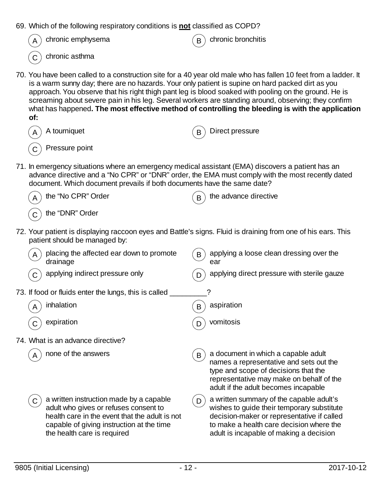| 69. Which of the following respiratory conditions is <b>not</b> classified as COPD?                                                                                                  |                                                                                                                                                                                                                                                                                                                                                                                                                                      |  |
|--------------------------------------------------------------------------------------------------------------------------------------------------------------------------------------|--------------------------------------------------------------------------------------------------------------------------------------------------------------------------------------------------------------------------------------------------------------------------------------------------------------------------------------------------------------------------------------------------------------------------------------|--|
| chronic emphysema                                                                                                                                                                    | chronic bronchitis                                                                                                                                                                                                                                                                                                                                                                                                                   |  |
| chronic asthma                                                                                                                                                                       |                                                                                                                                                                                                                                                                                                                                                                                                                                      |  |
| is a warm sunny day; there are no hazards. Your only patient is supine on hard packed dirt as you<br>of:                                                                             | 70. You have been called to a construction site for a 40 year old male who has fallen 10 feet from a ladder. It<br>approach. You observe that his right thigh pant leg is blood soaked with pooling on the ground. He is<br>screaming about severe pain in his leg. Several workers are standing around, observing; they confirm<br>what has happened. The most effective method of controlling the bleeding is with the application |  |
| A tourniquet                                                                                                                                                                         | Direct pressure<br>B                                                                                                                                                                                                                                                                                                                                                                                                                 |  |
| Pressure point                                                                                                                                                                       |                                                                                                                                                                                                                                                                                                                                                                                                                                      |  |
| 71. In emergency situations where an emergency medical assistant (EMA) discovers a patient has an<br>document. Which document prevails if both documents have the same date?         | advance directive and a "No CPR" or "DNR" order, the EMA must comply with the most recently dated                                                                                                                                                                                                                                                                                                                                    |  |
| the "No CPR" Order                                                                                                                                                                   | the advance directive<br>B                                                                                                                                                                                                                                                                                                                                                                                                           |  |
| the "DNR" Order                                                                                                                                                                      |                                                                                                                                                                                                                                                                                                                                                                                                                                      |  |
| patient should be managed by:                                                                                                                                                        | 72. Your patient is displaying raccoon eyes and Battle's signs. Fluid is draining from one of his ears. This                                                                                                                                                                                                                                                                                                                         |  |
| placing the affected ear down to promote<br>drainage                                                                                                                                 | applying a loose clean dressing over the<br>B<br>ear                                                                                                                                                                                                                                                                                                                                                                                 |  |
| applying indirect pressure only                                                                                                                                                      | applying direct pressure with sterile gauze                                                                                                                                                                                                                                                                                                                                                                                          |  |
| 73. If food or fluids enter the lungs, this is called                                                                                                                                |                                                                                                                                                                                                                                                                                                                                                                                                                                      |  |
| inhalation<br>A                                                                                                                                                                      | aspiration<br>B                                                                                                                                                                                                                                                                                                                                                                                                                      |  |
| expiration                                                                                                                                                                           | vomitosis                                                                                                                                                                                                                                                                                                                                                                                                                            |  |
| 74. What is an advance directive?                                                                                                                                                    |                                                                                                                                                                                                                                                                                                                                                                                                                                      |  |
| none of the answers                                                                                                                                                                  | a document in which a capable adult<br>B<br>names a representative and sets out the<br>type and scope of decisions that the<br>representative may make on behalf of the<br>adult if the adult becomes incapable                                                                                                                                                                                                                      |  |
| a written instruction made by a capable<br>C<br>adult who gives or refuses consent to<br>health care in the event that the adult is not<br>capable of giving instruction at the time | a written summary of the capable adult's<br>D<br>wishes to guide their temporary substitute<br>decision-maker or representative if called<br>to make a health care decision where the                                                                                                                                                                                                                                                |  |

the health care is required

adult is incapable of making a decision